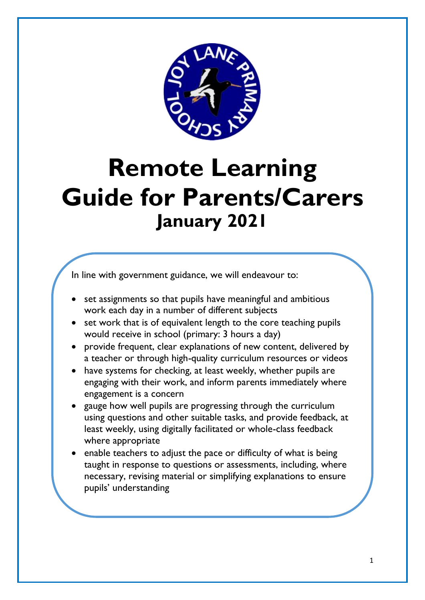

# **Remote Learning Guide for Parents/Carers January 2021**

In line with government guidance, we will endeavour to:

- set assignments so that pupils have meaningful and ambitious work each day in a number of different subjects
- set work that is of equivalent length to the core teaching pupils would receive in school (primary: 3 hours a day)
- provide frequent, clear explanations of new content, delivered by a teacher or through high-quality curriculum resources or videos
- have systems for checking, at least weekly, whether pupils are engaging with their work, and inform parents immediately where engagement is a concern
- gauge how well pupils are progressing through the curriculum using questions and other suitable tasks, and provide feedback, at least weekly, using digitally facilitated or whole-class feedback where appropriate
- enable teachers to adjust the pace or difficulty of what is being taught in response to questions or assessments, including, where necessary, revising material or simplifying explanations to ensure pupils' understanding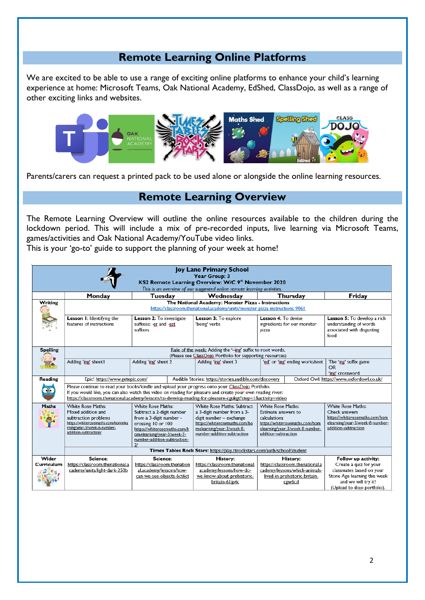## **Remote Learning Online Platforms**

We are excited to be able to use a range of exciting online platforms to enhance your child's learning experience at home: Microsoft Teams, Oak National Academy, EdShed, ClassDojo, as well as a range of other exciting links and websites.



Parents/carers can request a printed pack to be used alone or alongside the online learning resources.

#### **Remote Learning Overview**

The Remote Learning Overview will outline the online resources available to the children during the lockdown period. This will include a mix of pre-recorded inputs, live learning via Microsoft Teams, games/activities and Oak National Academy/YouTube video links.

This is your 'go-to' guide to support the planning of your week at home!

| Joy Lane Primary School<br>Year Group: 3<br>KS2 Remote Learning Overview: W/C 9th November 2020<br>This is an overview of our suggested online remote learning activities. |                                                                                                                                                                                                                                                                                                                                |                                                                                                                                                                                                                       |                                                                                                                                                                                         |                                                                                                                                                              |                                                                                                                                                                 |  |  |  |  |  |  |
|----------------------------------------------------------------------------------------------------------------------------------------------------------------------------|--------------------------------------------------------------------------------------------------------------------------------------------------------------------------------------------------------------------------------------------------------------------------------------------------------------------------------|-----------------------------------------------------------------------------------------------------------------------------------------------------------------------------------------------------------------------|-----------------------------------------------------------------------------------------------------------------------------------------------------------------------------------------|--------------------------------------------------------------------------------------------------------------------------------------------------------------|-----------------------------------------------------------------------------------------------------------------------------------------------------------------|--|--|--|--|--|--|
|                                                                                                                                                                            | Monday                                                                                                                                                                                                                                                                                                                         | Tuesday                                                                                                                                                                                                               | Wednesday                                                                                                                                                                               | Thursday                                                                                                                                                     | Friday                                                                                                                                                          |  |  |  |  |  |  |
| Writing                                                                                                                                                                    | The National Academy: Monster Pizza - Instructions<br>https://classroom.thenational.academy/units/monster-pizza-instructions-9061                                                                                                                                                                                              |                                                                                                                                                                                                                       |                                                                                                                                                                                         |                                                                                                                                                              |                                                                                                                                                                 |  |  |  |  |  |  |
|                                                                                                                                                                            | Lesson 1: Identifying the<br>features of instructions                                                                                                                                                                                                                                                                          | Lesson 2: To investigate<br>suffixes: -er and -est<br>suffixes                                                                                                                                                        | Lesson 3: To explore<br>'being' verbs                                                                                                                                                   | Lesson 4: To devise<br>ingredients for our monster<br>pizza                                                                                                  | Lesson 5: To develop a rich<br>understanding of words<br>associated with disgusting<br>food                                                                     |  |  |  |  |  |  |
| <b>Spelling</b>                                                                                                                                                            | Rule of the week: Adding the '-jng' suffix to root words.<br>(Please see ClassDoio Portfolio for supporting resources)                                                                                                                                                                                                         |                                                                                                                                                                                                                       |                                                                                                                                                                                         |                                                                                                                                                              |                                                                                                                                                                 |  |  |  |  |  |  |
|                                                                                                                                                                            | Adding 'ing' sheet I                                                                                                                                                                                                                                                                                                           | Adding 'ing' sheet 2                                                                                                                                                                                                  | Adding 'ing' sheet 3                                                                                                                                                                    | 'ed' or 'ing' ending worksheet                                                                                                                               | The 'ing' suffix game<br><b>OR</b><br>'ing' crossword                                                                                                           |  |  |  |  |  |  |
| Reading                                                                                                                                                                    | Epic! https://www.getepic.com/                                                                                                                                                                                                                                                                                                 |                                                                                                                                                                                                                       | Audible Stories: https://stories.audible.com/discovery                                                                                                                                  |                                                                                                                                                              | Oxford Owl: https://www.oxfordowl.co.uk/                                                                                                                        |  |  |  |  |  |  |
|                                                                                                                                                                            | Please continue to read your books/kindle and upload your progress onto your ClassDojo Portfolio.<br>If you would like, you can also watch this video on reading for pleasure and create your own reading river:<br>https://classroom.thenational.academy/lessons/to-develop-reading-for-pleasure-cgukgt?step=1&activity=video |                                                                                                                                                                                                                       |                                                                                                                                                                                         |                                                                                                                                                              |                                                                                                                                                                 |  |  |  |  |  |  |
| Maths                                                                                                                                                                      | <b>White Rose Maths:</b><br>Mixed addition and<br>subtraction problems<br>https://whiterosemaths.com/homelea<br>rning/year-3/week-6-number-<br>addition-subtraction/                                                                                                                                                           | <b>White Rose Maths:</b><br>Subtract a 2-digit number<br>from a 3-digit number -<br>crossing 10 or 100<br>https://whiterosemaths.com/h<br>omelearning/year-3/week-7-<br>number-addition-subtraction-<br>$\mathcal{U}$ | <b>White Rose Maths: Subtract</b><br>a 3-digit number from a 3-<br>digit number - exchange<br>https://whiterosemaths.com/ho<br>melearning/year-3/week-8-<br>number-addition-subtraction | <b>White Rose Maths:</b><br>Estimate answers to<br>calculations<br>https://whiterosemaths.com/hom<br>elearning/year-3/week-8-number-<br>addition-subtraction | <b>White Rose Maths:</b><br>Check answers<br>https://whiterosemaths.com/hom<br>elearning/year-3/week-8-number-<br>addition-subtraction                          |  |  |  |  |  |  |
|                                                                                                                                                                            | Times Tables Rock Stars: https://play.ttrockstars.com/auth/school/student                                                                                                                                                                                                                                                      |                                                                                                                                                                                                                       |                                                                                                                                                                                         |                                                                                                                                                              |                                                                                                                                                                 |  |  |  |  |  |  |
| Wider<br>Curriculum                                                                                                                                                        | Science:<br>https://classroom.thenational.a<br>cademy/units/light-dark-250b                                                                                                                                                                                                                                                    | Science:<br>https://classroom.thenation<br>al.academy/lessons/how-<br>can-we-see-objects-6ct6ct                                                                                                                       | History:<br>https://classroom.thenational.<br>academy/lessons/how-do-<br>we-know-about-prehistoric-<br>britain-61jp4c                                                                   | History:<br>https://classroom.thenational.a<br>cademy/lessons/which-animals-<br>lived-in-prehistoric-britain-<br>cgw6cd                                      | Follow up activity:<br>Create a quiz for your<br>classmates based on your<br>Stone Age learning this week<br>and we will try it!<br>(Upload to dojo portfolio). |  |  |  |  |  |  |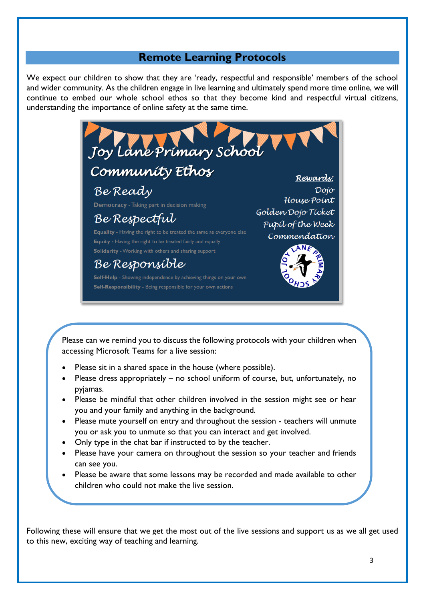#### **Remote Learning Protocols**

We expect our children to show that they are 'ready, respectful and responsible' members of the school and wider community. As the children engage in live learning and ultimately spend more time online, we will continue to embed our whole school ethos so that they become kind and respectful virtual citizens, understanding the importance of online safety at the same time.



Please can we remind you to discuss the following protocols with your children when accessing Microsoft Teams for a live session:

- Please sit in a shared space in the house (where possible).
- Please dress appropriately no school uniform of course, but, unfortunately, no pyjamas.
- Please be mindful that other children involved in the session might see or hear you and your family and anything in the background.
- Please mute yourself on entry and throughout the session teachers will unmute you or ask you to unmute so that you can interact and get involved.
- Only type in the chat bar if instructed to by the teacher.

nearby.

- Please have your camera on throughout the session so your teacher and friends can see you.
- Please be aware that some lessons may be recorded and made available to other children who could not make the live session.

Younger children may need to be accompanied by an adult or have an adult

Following these will ensure that we get the most out of the live sessions and support us as we all get used to this new, exciting way of teaching and learning.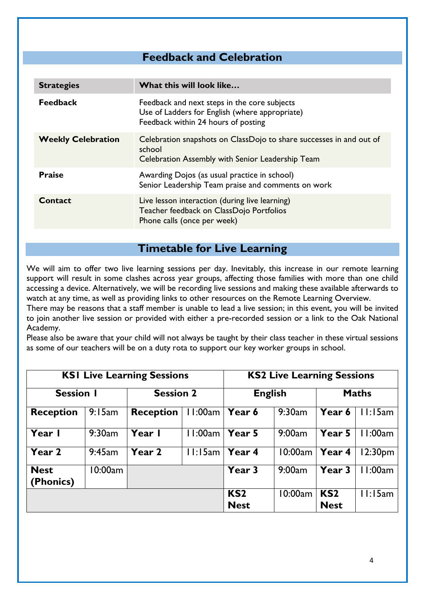## **Feedback and Celebration**

| <b>Strategies</b>         | What this will look like                                                                                                              |  |  |  |
|---------------------------|---------------------------------------------------------------------------------------------------------------------------------------|--|--|--|
| <b>Feedback</b>           | Feedback and next steps in the core subjects<br>Use of Ladders for English (where appropriate)<br>Feedback within 24 hours of posting |  |  |  |
| <b>Weekly Celebration</b> | Celebration snapshots on ClassDojo to share successes in and out of<br>school<br>Celebration Assembly with Senior Leadership Team     |  |  |  |
| <b>Praise</b>             | Awarding Dojos (as usual practice in school)<br>Senior Leadership Team praise and comments on work                                    |  |  |  |
| Contact                   | Live lesson interaction (during live learning)<br>Teacher feedback on ClassDojo Portfolios<br>Phone calls (once per week)             |  |  |  |

**Timetable for Live Learning**

We will aim to offer two live learning sessions per day. Inevitably, this increase in our remote learning support will result in some clashes across year groups, affecting those families with more than one child accessing a device. Alternatively, we will be recording live sessions and making these available afterwards to watch at any time, as well as providing links to other resources on the Remote Learning Overview.

There may be reasons that a staff member is unable to lead a live session; in this event, you will be invited to join another live session or provided with either a pre-recorded session or a link to the Oak National Academy.

Please also be aware that your child will not always be taught by their class teacher in these virtual sessions as some of our teachers will be on a duty rota to support our key worker groups in school.

|                          | <b>KSI Live Learning Sessions</b> | <b>KS2 Live Learning Sessions</b> |          |                                |         |                                |                     |
|--------------------------|-----------------------------------|-----------------------------------|----------|--------------------------------|---------|--------------------------------|---------------------|
| <b>Session I</b>         |                                   | <b>Session 2</b>                  |          | <b>English</b>                 |         | <b>Maths</b>                   |                     |
| <b>Reception</b>         | 9:15am                            | <b>Reception</b>                  | 11:00am  | Year 6                         | 9:30am  | Year 6                         | 11:15am             |
| Year I                   | 9:30am                            | Year I                            | l I:00am | Year 5                         | 9:00am  | Year 5                         | 11:00am             |
| Year 2                   | 9:45am                            | Year 2                            | 11:15am  | Year 4                         | 10:00am | Year 4                         | 12:30 <sub>pm</sub> |
| <b>Nest</b><br>(Phonics) | 10:00am                           |                                   |          | Year 3                         | 9:00am  | Year 3                         | 1:00am              |
|                          |                                   |                                   |          | KS <sub>2</sub><br><b>Nest</b> | 10:00am | KS <sub>2</sub><br><b>Nest</b> | 11:15am             |